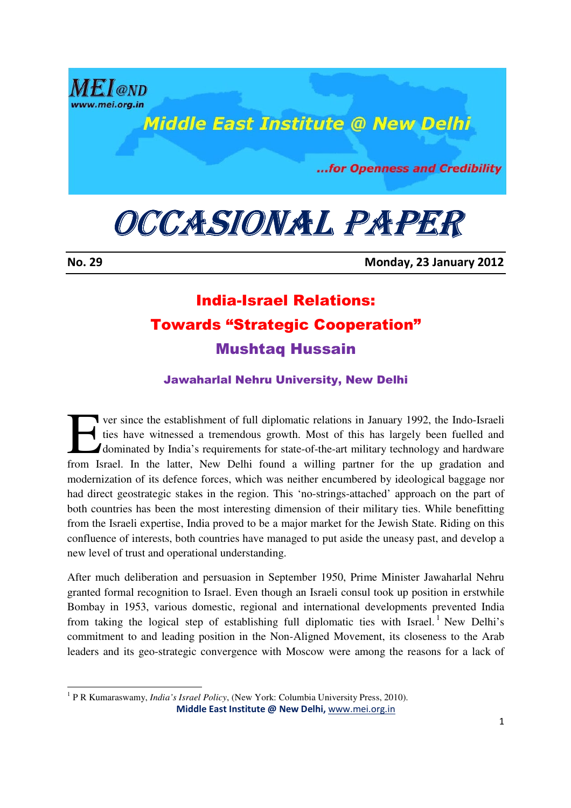

## **Middle East Institute @ New Delhi**

...for Openness and Credibility

# OCCASIONAL PAPER

.<br>-

No. 29 Monday, 23 January 2012

## India-Israel Relations: Towards "Strategic Cooperation" Mushtaq Hussain

### Jawaharlal Nehru University, New Delhi

ver since the establishment of full diplomatic relations in January 1992, the Indo-Israeli ties have witnessed a tremendous growth. Most of this has largely been fuelled and dominated by India's requirements for state-of-the-art military technology and hardware **From Israel.** In the latter, New Delhi found a willing partner for the up gradation and a willing partner for the up gradation and a willing partner for the up gradation and  $\frac{1}{2}$  and  $\frac{1}{2}$  and  $\frac{1}{2}$  and  $\frac{1$ modernization of its defence forces, which was neither encumbered by ideological baggage nor had direct geostrategic stakes in the region. This 'no-strings-attached' approach on the part of both countries has been the most interesting dimension of their military ties. While benefitting from the Israeli expertise, India proved to be a major market for the Jewish State. Riding on this confluence of interests, both countries have managed to put aside the uneasy past, and develop a new level of trust and operational understanding.

After much deliberation and persuasion in September 1950, Prime Minister Jawaharlal Nehru granted formal recognition to Israel. Even though an Israeli consul took up position in erstwhile Bombay in 1953, various domestic, regional and international developments prevented India from taking the logical step of establishing full diplomatic ties with Israel.<sup>1</sup> New Delhi's commitment to and leading position in the Non-Aligned Movement, its closeness to the Arab leaders and its geo-strategic convergence with Moscow were among the reasons for a lack of

 Middle East Institute @ New Delhi, www.mei.org.in <sup>1</sup> P R Kumaraswamy, *India's Israel Policy*, (New York: Columbia University Press, 2010).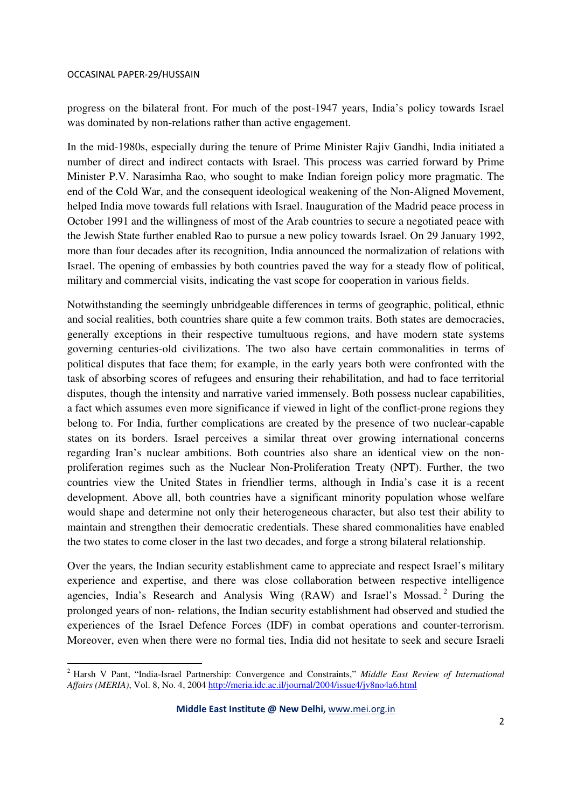<u>.</u>

progress on the bilateral front. For much of the post-1947 years, India's policy towards Israel was dominated by non-relations rather than active engagement.

In the mid-1980s, especially during the tenure of Prime Minister Rajiv Gandhi, India initiated a number of direct and indirect contacts with Israel. This process was carried forward by Prime Minister P.V. Narasimha Rao, who sought to make Indian foreign policy more pragmatic. The end of the Cold War, and the consequent ideological weakening of the Non-Aligned Movement, helped India move towards full relations with Israel. Inauguration of the Madrid peace process in October 1991 and the willingness of most of the Arab countries to secure a negotiated peace with the Jewish State further enabled Rao to pursue a new policy towards Israel. On 29 January 1992, more than four decades after its recognition, India announced the normalization of relations with Israel. The opening of embassies by both countries paved the way for a steady flow of political, military and commercial visits, indicating the vast scope for cooperation in various fields.

Notwithstanding the seemingly unbridgeable differences in terms of geographic, political, ethnic and social realities, both countries share quite a few common traits. Both states are democracies, generally exceptions in their respective tumultuous regions, and have modern state systems governing centuries-old civilizations. The two also have certain commonalities in terms of political disputes that face them; for example, in the early years both were confronted with the task of absorbing scores of refugees and ensuring their rehabilitation, and had to face territorial disputes, though the intensity and narrative varied immensely. Both possess nuclear capabilities, a fact which assumes even more significance if viewed in light of the conflict-prone regions they belong to. For India, further complications are created by the presence of two nuclear-capable states on its borders. Israel perceives a similar threat over growing international concerns regarding Iran's nuclear ambitions. Both countries also share an identical view on the nonproliferation regimes such as the Nuclear Non-Proliferation Treaty (NPT). Further, the two countries view the United States in friendlier terms, although in India's case it is a recent development. Above all, both countries have a significant minority population whose welfare would shape and determine not only their heterogeneous character, but also test their ability to maintain and strengthen their democratic credentials. These shared commonalities have enabled the two states to come closer in the last two decades, and forge a strong bilateral relationship.

Over the years, the Indian security establishment came to appreciate and respect Israel's military experience and expertise, and there was close collaboration between respective intelligence agencies, India's Research and Analysis Wing (RAW) and Israel's Mossad.<sup>2</sup> During the prolonged years of non- relations, the Indian security establishment had observed and studied the experiences of the Israel Defence Forces (IDF) in combat operations and counter-terrorism. Moreover, even when there were no formal ties, India did not hesitate to seek and secure Israeli

<sup>2</sup> Harsh V Pant, "India-Israel Partnership: Convergence and Constraints," *Middle East Review of International Affairs (MERIA)*, Vol. 8, No. 4, 2004 http://meria.idc.ac.il/journal/2004/issue4/jv8no4a6.html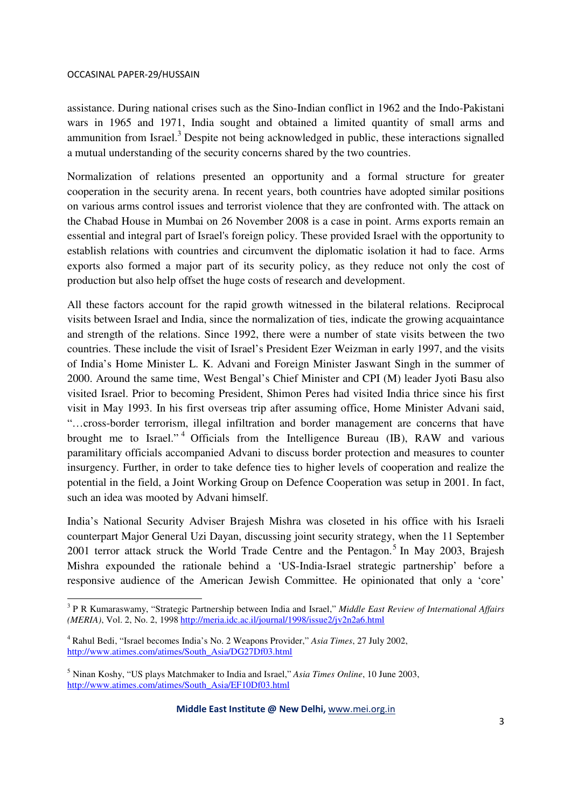.<br>-

assistance. During national crises such as the Sino-Indian conflict in 1962 and the Indo-Pakistani wars in 1965 and 1971, India sought and obtained a limited quantity of small arms and ammunition from Israel.<sup>3</sup> Despite not being acknowledged in public, these interactions signalled a mutual understanding of the security concerns shared by the two countries.

Normalization of relations presented an opportunity and a formal structure for greater cooperation in the security arena. In recent years, both countries have adopted similar positions on various arms control issues and terrorist violence that they are confronted with. The attack on the Chabad House in Mumbai on 26 November 2008 is a case in point. Arms exports remain an essential and integral part of Israel's foreign policy. These provided Israel with the opportunity to establish relations with countries and circumvent the diplomatic isolation it had to face. Arms exports also formed a major part of its security policy, as they reduce not only the cost of production but also help offset the huge costs of research and development.

All these factors account for the rapid growth witnessed in the bilateral relations. Reciprocal visits between Israel and India, since the normalization of ties, indicate the growing acquaintance and strength of the relations. Since 1992, there were a number of state visits between the two countries. These include the visit of Israel's President Ezer Weizman in early 1997, and the visits of India's Home Minister L. K. Advani and Foreign Minister Jaswant Singh in the summer of 2000. Around the same time, West Bengal's Chief Minister and CPI (M) leader Jyoti Basu also visited Israel. Prior to becoming President, Shimon Peres had visited India thrice since his first visit in May 1993. In his first overseas trip after assuming office, Home Minister Advani said, "…cross-border terrorism, illegal infiltration and border management are concerns that have brought me to Israel."<sup>4</sup> Officials from the Intelligence Bureau (IB), RAW and various paramilitary officials accompanied Advani to discuss border protection and measures to counter insurgency. Further, in order to take defence ties to higher levels of cooperation and realize the potential in the field, a Joint Working Group on Defence Cooperation was setup in 2001. In fact, such an idea was mooted by Advani himself.

India's National Security Adviser Brajesh Mishra was closeted in his office with his Israeli counterpart Major General Uzi Dayan, discussing joint security strategy, when the 11 September 2001 terror attack struck the World Trade Centre and the Pentagon.<sup>5</sup> In May 2003, Brajesh Mishra expounded the rationale behind a 'US-India-Israel strategic partnership' before a responsive audience of the American Jewish Committee. He opinionated that only a 'core'

<sup>3</sup> P R Kumaraswamy, "Strategic Partnership between India and Israel," *Middle East Review of International Affairs (MERIA)*, Vol. 2, No. 2, 1998 http://meria.idc.ac.il/journal/1998/issue2/jv2n2a6.html

<sup>4</sup> Rahul Bedi, "Israel becomes India's No. 2 Weapons Provider," *Asia Times*, 27 July 2002, http://www.atimes.com/atimes/South\_Asia/DG27Df03.html

<sup>5</sup> Ninan Koshy, "US plays Matchmaker to India and Israel," *Asia Times Online*, 10 June 2003, http://www.atimes.com/atimes/South\_Asia/EF10Df03.html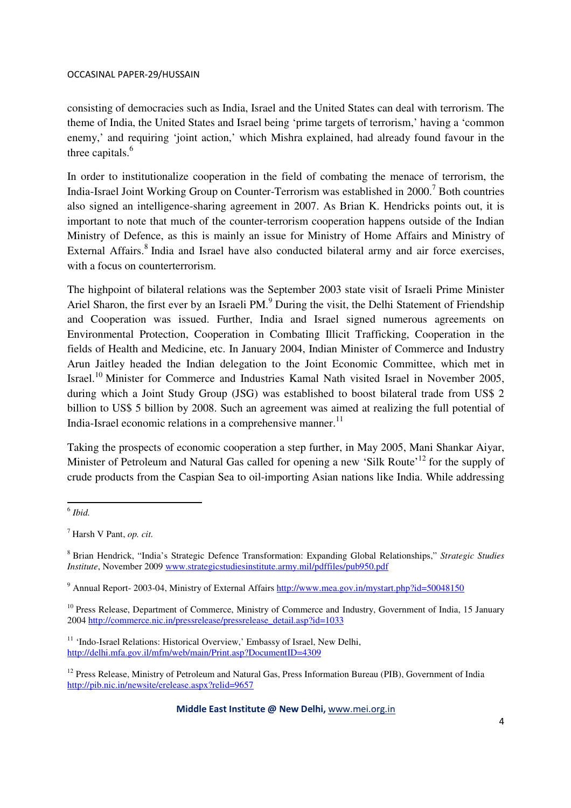consisting of democracies such as India, Israel and the United States can deal with terrorism. The theme of India, the United States and Israel being 'prime targets of terrorism,' having a 'common enemy,' and requiring 'joint action,' which Mishra explained, had already found favour in the three capitals.<sup>6</sup>

In order to institutionalize cooperation in the field of combating the menace of terrorism, the India-Israel Joint Working Group on Counter-Terrorism was established in 2000.<sup>7</sup> Both countries also signed an intelligence-sharing agreement in 2007. As Brian K. Hendricks points out, it is important to note that much of the counter-terrorism cooperation happens outside of the Indian Ministry of Defence, as this is mainly an issue for Ministry of Home Affairs and Ministry of External Affairs.<sup>8</sup> India and Israel have also conducted bilateral army and air force exercises, with a focus on counterterrorism.

The highpoint of bilateral relations was the September 2003 state visit of Israeli Prime Minister Ariel Sharon, the first ever by an Israeli PM.<sup>9</sup> During the visit, the Delhi Statement of Friendship and Cooperation was issued. Further, India and Israel signed numerous agreements on Environmental Protection, Cooperation in Combating Illicit Trafficking, Cooperation in the fields of Health and Medicine, etc. In January 2004, Indian Minister of Commerce and Industry Arun Jaitley headed the Indian delegation to the Joint Economic Committee, which met in Israel.<sup>10</sup> Minister for Commerce and Industries Kamal Nath visited Israel in November 2005, during which a Joint Study Group (JSG) was established to boost bilateral trade from US\$ 2 billion to US\$ 5 billion by 2008. Such an agreement was aimed at realizing the full potential of India-Israel economic relations in a comprehensive manner.<sup>11</sup>

Taking the prospects of economic cooperation a step further, in May 2005, Mani Shankar Aiyar, Minister of Petroleum and Natural Gas called for opening a new 'Silk Route'<sup>12</sup> for the supply of crude products from the Caspian Sea to oil-importing Asian nations like India. While addressing

 6 *Ibid.* 

<sup>7</sup> Harsh V Pant, *op. cit.* 

<sup>8</sup> Brian Hendrick, "India's Strategic Defence Transformation: Expanding Global Relationships," *Strategic Studies Institute*, November 2009 www.strategicstudiesinstitute.army.mil/pdffiles/pub950.pdf

<sup>&</sup>lt;sup>9</sup> Annual Report- 2003-04, Ministry of External Affairs http://www.mea.gov.in/mystart.php?id=50048150

<sup>&</sup>lt;sup>10</sup> Press Release, Department of Commerce, Ministry of Commerce and Industry, Government of India, 15 January 2004 http://commerce.nic.in/pressrelease/pressrelease\_detail.asp?id=1033

<sup>&</sup>lt;sup>11</sup> 'Indo-Israel Relations: Historical Overview,' Embassy of Israel, New Delhi, http://delhi.mfa.gov.il/mfm/web/main/Print.asp?DocumentID=4309

<sup>&</sup>lt;sup>12</sup> Press Release, Ministry of Petroleum and Natural Gas, Press Information Bureau (PIB), Government of India http://pib.nic.in/newsite/erelease.aspx?relid=9657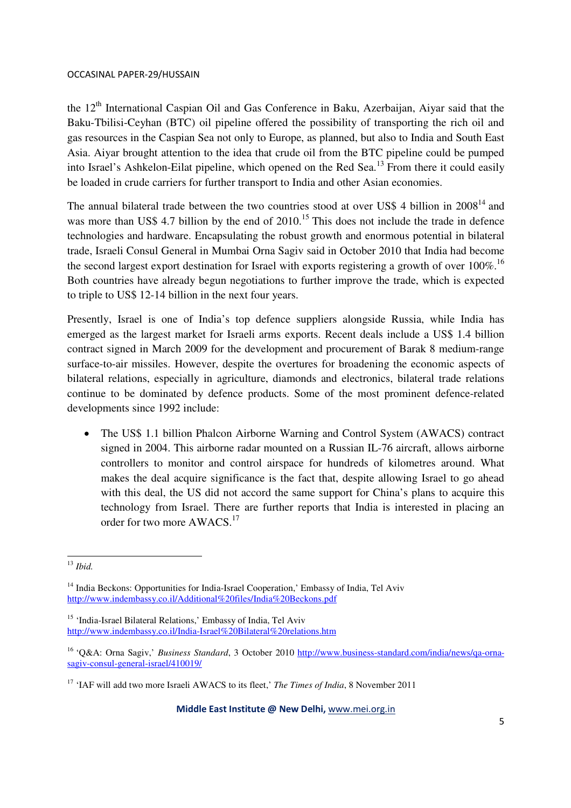the 12<sup>th</sup> International Caspian Oil and Gas Conference in Baku, Azerbaijan, Aiyar said that the Baku-Tbilisi-Ceyhan (BTC) oil pipeline offered the possibility of transporting the rich oil and gas resources in the Caspian Sea not only to Europe, as planned, but also to India and South East Asia. Aiyar brought attention to the idea that crude oil from the BTC pipeline could be pumped into Israel's Ashkelon-Eilat pipeline, which opened on the Red Sea.<sup>13</sup> From there it could easily be loaded in crude carriers for further transport to India and other Asian economies.

The annual bilateral trade between the two countries stood at over US\$ 4 billion in  $2008<sup>14</sup>$  and was more than US\$ 4.7 billion by the end of  $2010$ .<sup>15</sup> This does not include the trade in defence technologies and hardware. Encapsulating the robust growth and enormous potential in bilateral trade, Israeli Consul General in Mumbai Orna Sagiv said in October 2010 that India had become the second largest export destination for Israel with exports registering a growth of over  $100\%$ .<sup>16</sup> Both countries have already begun negotiations to further improve the trade, which is expected to triple to US\$ 12-14 billion in the next four years.

Presently, Israel is one of India's top defence suppliers alongside Russia, while India has emerged as the largest market for Israeli arms exports. Recent deals include a US\$ 1.4 billion contract signed in March 2009 for the development and procurement of Barak 8 medium-range surface-to-air missiles. However, despite the overtures for broadening the economic aspects of bilateral relations, especially in agriculture, diamonds and electronics, bilateral trade relations continue to be dominated by defence products. Some of the most prominent defence-related developments since 1992 include:

• The US\$ 1.1 billion Phalcon Airborne Warning and Control System (AWACS) contract signed in 2004. This airborne radar mounted on a Russian IL-76 aircraft, allows airborne controllers to monitor and control airspace for hundreds of kilometres around. What makes the deal acquire significance is the fact that, despite allowing Israel to go ahead with this deal, the US did not accord the same support for China's plans to acquire this technology from Israel. There are further reports that India is interested in placing an order for two more AWACS.<sup>17</sup>

Middle East Institute @ New Delhi, www.mei.org.in

<sup>&</sup>lt;u>.</u> <sup>13</sup> *Ibid.*

<sup>&</sup>lt;sup>14</sup> India Beckons: Opportunities for India-Israel Cooperation,' Embassy of India, Tel Aviv http://www.indembassy.co.il/Additional%20files/India%20Beckons.pdf

<sup>&</sup>lt;sup>15</sup> 'India-Israel Bilateral Relations,' Embassy of India, Tel Aviv http://www.indembassy.co.il/India-Israel%20Bilateral%20relations.htm

<sup>16</sup> 'Q&A: Orna Sagiv,' *Business Standard*, 3 October 2010 http://www.business-standard.com/india/news/qa-ornasagiv-consul-general-israel/410019/

<sup>17</sup> 'IAF will add two more Israeli AWACS to its fleet,' *The Times of India*, 8 November 2011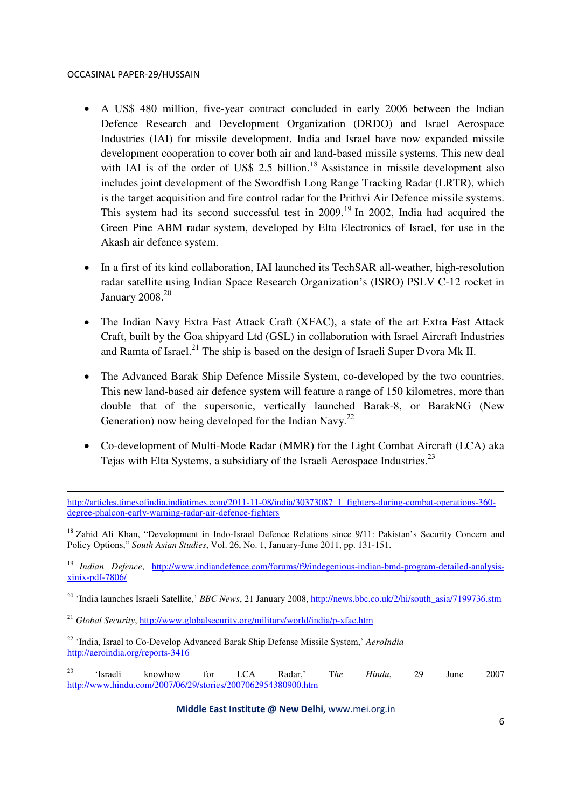<u>.</u>

- A US\$ 480 million, five-year contract concluded in early 2006 between the Indian Defence Research and Development Organization (DRDO) and Israel Aerospace Industries (IAI) for missile development. India and Israel have now expanded missile development cooperation to cover both air and land-based missile systems. This new deal with IAI is of the order of US\$ 2.5 billion.<sup>18</sup> Assistance in missile development also includes joint development of the Swordfish Long Range Tracking Radar (LRTR), which is the target acquisition and fire control radar for the Prithvi Air Defence missile systems. This system had its second successful test in 2009.<sup>19</sup> In 2002, India had acquired the Green Pine ABM radar system, developed by Elta Electronics of Israel, for use in the Akash air defence system.
- In a first of its kind collaboration, IAI launched its TechSAR all-weather, high-resolution radar satellite using Indian Space Research Organization's (ISRO) PSLV C-12 rocket in January 2008.<sup>20</sup>
- The Indian Navy Extra Fast Attack Craft (XFAC), a state of the art Extra Fast Attack Craft, built by the Goa shipyard Ltd (GSL) in collaboration with Israel Aircraft Industries and Ramta of Israel.<sup>21</sup> The ship is based on the design of Israeli Super Dvora Mk II.
- The Advanced Barak Ship Defence Missile System, co-developed by the two countries. This new land-based air defence system will feature a range of 150 kilometres, more than double that of the supersonic, vertically launched Barak-8, or BarakNG (New Generation) now being developed for the Indian Navy.<sup>22</sup>
- Co-development of Multi-Mode Radar (MMR) for the Light Combat Aircraft (LCA) aka Tejas with Elta Systems, a subsidiary of the Israeli Aerospace Industries.<sup>23</sup>

<sup>18</sup> Zahid Ali Khan, "Development in Indo-Israel Defence Relations since 9/11: Pakistan's Security Concern and Policy Options," *South Asian Studies*, Vol. 26, No. 1, January-June 2011, pp. 131-151.

<sup>19</sup> *Indian Defence*, http://www.indiandefence.com/forums/f9/indegenious-indian-bmd-program-detailed-analysisxinix-pdf-7806/

<sup>20</sup> 'India launches Israeli Satellite,' *BBC News*, 21 January 2008, http://news.bbc.co.uk/2/hi/south\_asia/7199736.stm

<sup>21</sup> *Global Security*, http://www.globalsecurity.org/military/world/india/p-xfac.htm

<sup>22</sup> 'India, Israel to Co-Develop Advanced Barak Ship Defense Missile System,' *AeroIndia*  http://aeroindia.org/reports-3416

<sup>23</sup> 'Israeli knowhow for LCA Radar,' T*he Hindu*, 29 June 2007 http://www.hindu.com/2007/06/29/stories/2007062954380900.htm

#### Middle East Institute @ New Delhi, www.mei.org.in

http://articles.timesofindia.indiatimes.com/2011-11-08/india/30373087\_1\_fighters-during-combat-operations-360degree-phalcon-early-warning-radar-air-defence-fighters